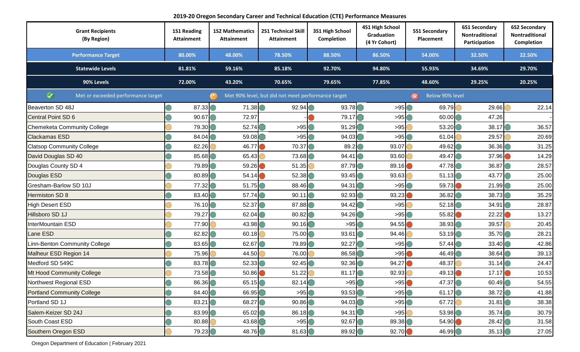**2019-20 Oregon Secondary Career and Technical Education (CTE) Performance Measures**

| <b>Grant Recipients</b><br>(By Region)  | <b>1S1 Reading</b><br><b>Attainment</b> | <b>1S2 Mathematics</b><br><b>Attainment</b> | <b>2S1 Technical Skill</b><br><b>Attainment</b>    | 3S1 High School<br>Completion | 4S1 High School<br>Graduation<br>(4 Yr Cohort) | <b>5S1 Secondary</b><br>Placement | <b>6S1 Secondary</b><br>Nontraditional<br>Participation | <b>6S2 Secondary</b><br>Nontraditional<br>Completion |
|-----------------------------------------|-----------------------------------------|---------------------------------------------|----------------------------------------------------|-------------------------------|------------------------------------------------|-----------------------------------|---------------------------------------------------------|------------------------------------------------------|
| <b>Performance Target</b>               | 80.00%                                  | 48.00%                                      | 78.50%                                             | 88.50%                        | 86.50%                                         | 54.00%                            | 32.50%                                                  | 22.50%                                               |
| <b>Statewide Levels</b>                 | 81.81%                                  | 59.16%                                      | 85.18%                                             | 92.70%                        | 94.80%                                         | 55.93%                            | 34.69%                                                  | 29.70%                                               |
| 90% Levels                              | 72.00%                                  | 43.20%                                      | 70.65%                                             | 79.65%                        | 77.85%                                         | 48.60%                            | 29.25%                                                  | 20.25%                                               |
| ⊛<br>Met or exceeded performance target |                                         |                                             | Met 90% level, but did not meet performance target |                               |                                                | Below 90% level<br>$\infty$       |                                                         |                                                      |
| Beaverton SD 48J                        | 87.33                                   | 71.38                                       | 92.94                                              | 93.78                         | >95                                            | 69.79                             | 29.66                                                   | 22.14                                                |
| Central Point SD 6                      | 90.67                                   | 72.97                                       |                                                    | 79.17                         | >95                                            | 60.00                             | 47.26                                                   |                                                      |
| Chemeketa Community College             | 79.30                                   | 52.74                                       | >95                                                | 91.29                         | >95                                            | 53.20                             | 38.17                                                   | 36.57                                                |
| <b>Clackamas ESD</b>                    | 84.04                                   | 59.08                                       | >95                                                | 94.03                         | >95                                            | 61.04                             | 29.57                                                   | 20.69                                                |
| <b>Clatsop Community College</b>        | 82.26                                   | 46.77                                       | 70.37                                              | 89.2                          | 93.07                                          | 49.62                             | 36.36                                                   | 31.25                                                |
| David Douglas SD 40                     | 85.68                                   | 65.43                                       | 73.68                                              | 94.41                         | 93.60                                          | 49.47                             | 37.96                                                   | 14.29                                                |
| Douglas County SD 4                     | 79.89                                   | 59.26                                       | 51.35                                              | 87.79                         | 89.16                                          | 47.78                             | 36.87                                                   | 28.57                                                |
| Douglas ESD                             | 80.89                                   | 54.14                                       | 52.38                                              | 93.45                         | 93.63                                          | 51.13                             | 43.77                                                   | 25.00                                                |
| Gresham-Barlow SD 10J                   | 77.32                                   | 51.75                                       | 88.46                                              | 94.31                         | >95                                            | 59.73                             | 21.99                                                   | 25.00                                                |
| <b>Hermiston SD 8</b>                   | 83.40                                   | 57.74                                       | 90.11                                              | 92.93                         | 93.23                                          | 36.82                             | 38.73                                                   | 35.29                                                |
| <b>High Desert ESD</b>                  | 76.10                                   | 52.37                                       | 87.88                                              | 94.42                         | >95                                            | 52.18                             | 34.91                                                   | 28.87                                                |
| Hillsboro SD 1J                         | 79.27                                   | 62.04                                       | 80.82                                              | 94.26                         | >95                                            | 55.82                             | 22.22                                                   | 13.27                                                |
| InterMountain ESD                       | 77.90                                   | 43.98                                       | 90.16                                              | >95                           | 94.55                                          | 38.93                             | 39.57                                                   | 20.45                                                |
| Lane ESD                                | 82.82                                   | 60.18                                       | 75.00                                              | 93.61                         | 94.46                                          | 53.19                             | 35.70                                                   | 28.21                                                |
| Linn-Benton Community College           | 83.65                                   | 62.67                                       | 79.89                                              | 92.27                         | >95                                            | 57.44                             | 33.40                                                   | 42.86                                                |
| Malheur ESD Region 14                   | 75.96                                   | 44.50                                       | 76.00                                              | 86.58                         | >95                                            | 46.49                             | 38.64                                                   | 39.13                                                |
| Medford SD 549C                         | 83.78                                   | 52.33                                       | 92.45                                              | 92.36                         | 94.27                                          | 48.37                             | 31.14                                                   | 24.47                                                |
| Mt Hood Community College               | 73.58                                   | 50.86                                       | 51.22                                              | 81.17                         | 92.93                                          | 49.13                             | 17.17                                                   | 10.53                                                |
| Northwest Regional ESD                  | 86.36                                   | 65.15                                       | 82.14                                              | >95                           | >95                                            | 47.37                             | 60.49                                                   | 54.55                                                |
| <b>Portland Community College</b>       | 84.40                                   | 66.95                                       | >95                                                | 93.53                         | >95                                            | 61.17                             | 38.72                                                   | 41.88                                                |
| Portland SD 1J                          | 83.21                                   | 68.27                                       | 90.86                                              | 94.03                         | >95                                            | 67.72                             | 31.81                                                   | 38.38                                                |
| Salem-Keizer SD 24J                     | 83.99                                   | 65.02                                       | 86.18                                              | 94.31                         | >95                                            | 53.98                             | 35.74                                                   | 30.79                                                |
| South Coast ESD                         | 80.88                                   | 43.68                                       | >95                                                | 92.67                         | 89.38                                          | 54.90                             | 28.42                                                   | 31.58                                                |
| Southern Oregon ESD                     | 79.23                                   | 48.76                                       | 81.63                                              | 89.92                         | 92.70                                          | 46.99                             | 35.13                                                   | 27.05                                                |

Oregon Department of Education | February 2021